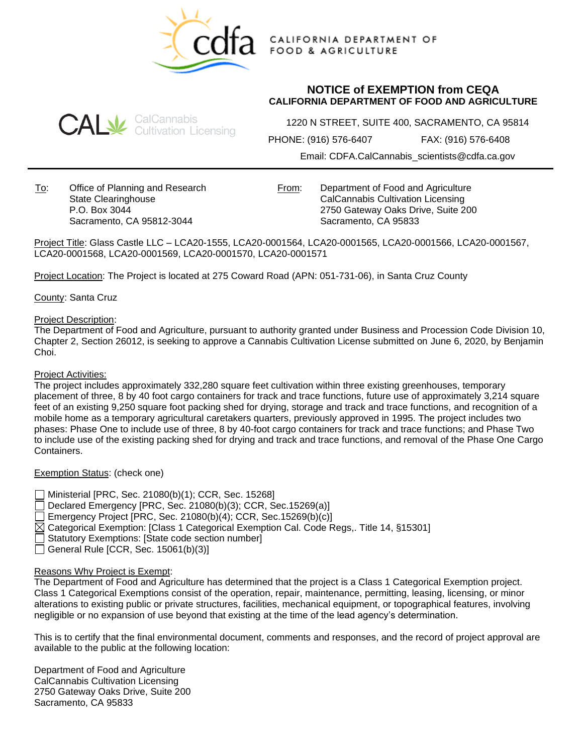

CALIFORNIA DEPARTMENT OF **FOOD & AGRICULTURE** 

# **NOTICE of EXEMPTION from CEQA CALIFORNIA DEPARTMENT OF FOOD AND AGRICULTURE**



1220 N STREET, SUITE 400, SACRAMENTO, CA 95814

PHONE: (916) 576-6407 FAX: (916) 576-6408

Email: CDFA.CalCannabis\_scientists@cdfa.ca.gov

To: Office of Planning and Research State Clearinghouse P.O. Box 3044 Sacramento, CA 95812-3044

From: Department of Food and Agriculture CalCannabis Cultivation Licensing 2750 Gateway Oaks Drive, Suite 200 Sacramento, CA 95833

Project Title: Glass Castle LLC – LCA20-1555, LCA20-0001564, LCA20-0001565, LCA20-0001566, LCA20-0001567, LCA20-0001568, LCA20-0001569, LCA20-0001570, LCA20-0001571

Project Location: The Project is located at 275 Coward Road (APN: 051-731-06), in Santa Cruz County

County: Santa Cruz

### Project Description:

The Department of Food and Agriculture, pursuant to authority granted under Business and Procession Code Division 10, Chapter 2, Section 26012, is seeking to approve a Cannabis Cultivation License submitted on June 6, 2020, by Benjamin Choi.

#### Project Activities:

The project includes approximately 332,280 square feet cultivation within three existing greenhouses, temporary placement of three, 8 by 40 foot cargo containers for track and trace functions, future use of approximately 3,214 square feet of an existing 9,250 square foot packing shed for drying, storage and track and trace functions, and recognition of a mobile home as a temporary agricultural caretakers quarters, previously approved in 1995. The project includes two phases: Phase One to include use of three, 8 by 40-foot cargo containers for track and trace functions; and Phase Two to include use of the existing packing shed for drying and track and trace functions, and removal of the Phase One Cargo Containers.

## Exemption Status: (check one)

Ministerial [PRC, Sec. 21080(b)(1); CCR, Sec. 15268] Declared Emergency [PRC, Sec. 21080(b)(3); CCR, Sec.15269(a)]

Emergency Project [PRC, Sec. 21080(b)(4); CCR, Sec.15269(b)(c)]

 $\boxtimes$  Categorical Exemption: [Class 1 Categorical Exemption Cal. Code Regs.. Title 14, §15301]

Statutory Exemptions: [State code section number]

General Rule [CCR, Sec.  $15061(b)(3)$ ]

## Reasons Why Project is Exempt:

The Department of Food and Agriculture has determined that the project is a Class 1 Categorical Exemption project. Class 1 Categorical Exemptions consist of the operation, repair, maintenance, permitting, leasing, licensing, or minor alterations to existing public or private structures, facilities, mechanical equipment, or topographical features, involving negligible or no expansion of use beyond that existing at the time of the lead agency's determination.

This is to certify that the final environmental document, comments and responses, and the record of project approval are available to the public at the following location:

Department of Food and Agriculture CalCannabis Cultivation Licensing 2750 Gateway Oaks Drive, Suite 200 Sacramento, CA 95833